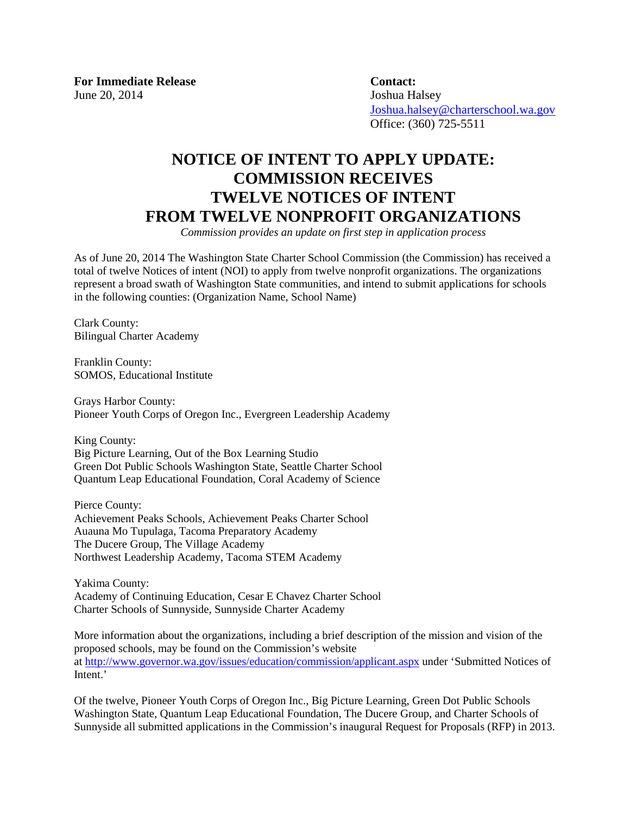**For Immediate Release Contact:**  June 20, 2014 Joshua Halsey

 [Joshua.halsey@charterschool.wa.gov](mailto:Joshua.halsey@charterschool.wa.gov) Office: (360) 725-5511

## **NOTICE OF INTENT TO APPLY UPDATE: COMMISSION RECEIVES TWELVE NOTICES OF INTENT FROM TWELVE NONPROFIT ORGANIZATIONS**

*Commission provides an update on first step in application process*

As of June 20, 2014 The Washington State Charter School Commission (the Commission) has received a total of twelve Notices of intent (NOI) to apply from twelve nonprofit organizations. The organizations represent a broad swath of Washington State communities, and intend to submit applications for schools in the following counties: (Organization Name, School Name)

Clark County: Bilingual Charter Academy

Franklin County: SOMOS, Educational Institute

Grays Harbor County: Pioneer Youth Corps of Oregon Inc., Evergreen Leadership Academy

King County: Big Picture Learning, Out of the Box Learning Studio Green Dot Public Schools Washington State, Seattle Charter School Quantum Leap Educational Foundation, Coral Academy of Science

Pierce County: Achievement Peaks Schools, Achievement Peaks Charter School Auauna Mo Tupulaga, Tacoma Preparatory Academy The Ducere Group, The Village Academy Northwest Leadership Academy, Tacoma STEM Academy

Yakima County: Academy of Continuing Education, Cesar E Chavez Charter School Charter Schools of Sunnyside, Sunnyside Charter Academy

More information about the organizations, including a brief description of the mission and vision of the proposed schools, may be found on the Commission's website at<http://www.governor.wa.gov/issues/education/commission/applicant.aspx> under 'Submitted Notices of Intent.'

Of the twelve, Pioneer Youth Corps of Oregon Inc., Big Picture Learning, Green Dot Public Schools Washington State, Quantum Leap Educational Foundation, The Ducere Group, and Charter Schools of Sunnyside all submitted applications in the Commission's inaugural Request for Proposals (RFP) in 2013.